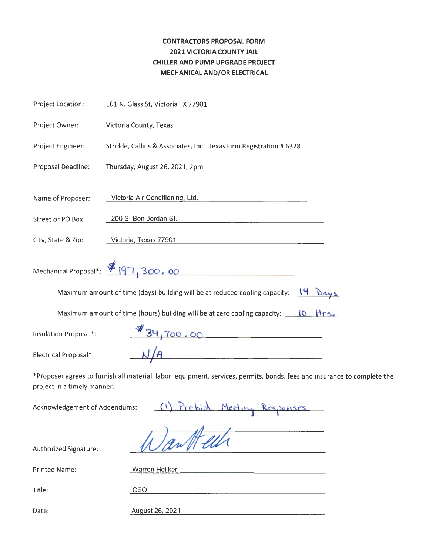### **CONTRACTORS PROPOSAL FORM 2021 VICTORIA COUNTY JAIL CHILLER AND PUMP UPGRADE PROJECT MECHANICAL AND/OR ELECTRICAL**

| Project Location:     | 101 N. Glass St, Victoria TX 77901                                                                                       |
|-----------------------|--------------------------------------------------------------------------------------------------------------------------|
| Project Owner:        | Victoria County, Texas                                                                                                   |
| Project Engineer:     | Stridde, Callins & Associates, Inc. Texas Firm Registration # 6328                                                       |
| Proposal Deadline:    | Thursday, August 26, 2021, 2pm                                                                                           |
| Name of Proposer:     | Victoria Air Conditioning, Ltd.                                                                                          |
| Street or PO Box:     | 200 S. Ben Jordan St.                                                                                                    |
| City, State & Zip:    | Victoria, Texas 77901                                                                                                    |
|                       | Mechanical Proposal*: \$197, 300, 00<br><u> 1989 - Johann Stein, Amerikaansk politiker (</u>                             |
|                       | Maximum amount of time (days) building will be at reduced cooling capacity: $14 \text{ days}$                            |
|                       | Maximum amount of time (hours) building will be at zero cooling capacity: $\Box$ 10 $\Box$ HrS.                          |
| Insulation Proposal*: | 34,700.00                                                                                                                |
| Electrical Proposal*: | $\frac{1}{A}$                                                                                                            |
|                       | *Proposer agrees to furnish all material, labor, equipment, services, permits, bonds, fees and insurance to complete the |

project in a timely manner.

Acknowledgement of Addendums: (1) Prebiol Meeting Responses<br>Authorized Signature: 100an H elle

Authorized Signature:

| <b>Printed Name:</b> | Warren Heilker  |
|----------------------|-----------------|
|                      |                 |
| Title:               | CEO             |
|                      |                 |
| Date:                | August 26, 2021 |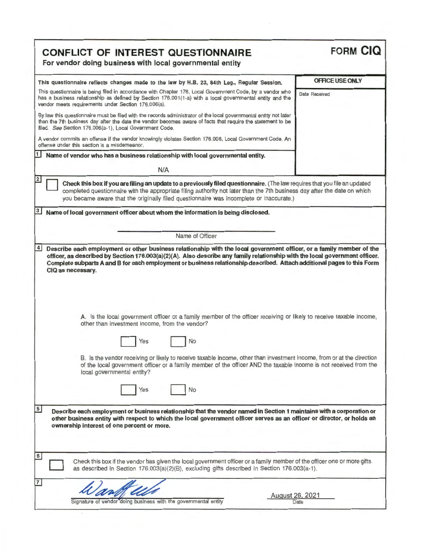| <b>CONFLICT OF INTEREST QUESTIONNAIRE</b><br>For vendor doing business with local governmental entity                                                                                                                                                                                                                                                                                                                                                                                                                             | <b>FORM CIQ</b> |
|-----------------------------------------------------------------------------------------------------------------------------------------------------------------------------------------------------------------------------------------------------------------------------------------------------------------------------------------------------------------------------------------------------------------------------------------------------------------------------------------------------------------------------------|-----------------|
| This questionnaire reflects changes made to the law by H.B. 23, 84th Leg., Regular Session.                                                                                                                                                                                                                                                                                                                                                                                                                                       | OFFICE USE ONLY |
| This questionnaire is being filed in accordance with Chapter 176, Local Government Code, by a vendor who<br>has a business relationship as defined by Section 176.001(1-a) with a local governmental entity and the<br>vendor meets requirements under Section 176.006(a).                                                                                                                                                                                                                                                        | Date Received   |
| By law this questionnaire must be filed with the records administrator of the local governmental entity not later<br>than the 7th business day after the date the vendor becomes aware of facts that require the statement to be<br>filed. See Section 176.006(a-1), Local Government Code.                                                                                                                                                                                                                                       |                 |
| A vendor commits an offense if the vendor knowingly violates Section 176.006, Local Government Code. An<br>offense under this section is a misdemeanor.                                                                                                                                                                                                                                                                                                                                                                           |                 |
| Name of vendor who has a business relationship with local governmental entity.<br>N/A                                                                                                                                                                                                                                                                                                                                                                                                                                             |                 |
| Check this box if you are filing an update to a previously filed questionnaire. (The law requires that you file an updated<br>completed questionnaire with the appropriate filing authority not later than the 7th business day after the date on which<br>you became aware that the originally filed questionnaire was incomplete or inaccurate.)                                                                                                                                                                                |                 |
| 3<br>Name of local government officer about whom the information is being disclosed.                                                                                                                                                                                                                                                                                                                                                                                                                                              |                 |
| Name of Officer                                                                                                                                                                                                                                                                                                                                                                                                                                                                                                                   |                 |
| A. Is the local government officer or a family member of the officer receiving or likely to receive taxable income,<br>other than investment income, from the vendor?<br>No<br>Yes<br>B. Is the vendor receiving or likely to receive taxable income, other than investment income, from or at the direction<br>of the local government officer or a family member of the officer AND the taxable income is not received from the<br>local governmental entity?<br>No<br>Yes                                                      |                 |
| 5<br>Describe each employment or business relationship that the vendor named in Section 1 maintains with a corporation or<br>other business entity with respect to which the local government officer serves as an officer or director, or holds an<br>ownership interest of one percent or more.<br>6<br>Check this box if the vendor has given the local government officer or a family member of the officer one or more gifts<br>as described in Section 176.003(a)(2)(B), excluding gifts described in Section 176.003(a-1). |                 |
|                                                                                                                                                                                                                                                                                                                                                                                                                                                                                                                                   |                 |

 $\sim$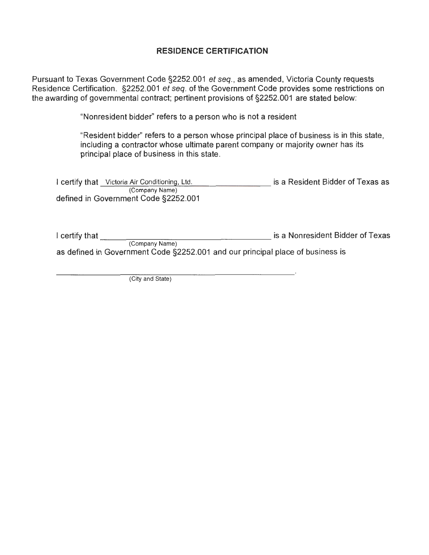#### **RESIDENCE CERTIFICATION**

Pursuant to Texas Government Code §2252.001 et seq., as amended, Victoria County requests Residence Certification. §2252.001 et seq. of the Government Code provides some restrictions on the awarding of governmental contract; pertinent provisions of §2252.001 are stated below:

"Nonresident bidder" refers to a person who is not a resident

"Resident bidder" refers to a person whose principal place of business is in this state, including a contractor whose ultimate parent company or majority owner has its principal place of business in this state.

| I certify that Victoria Air Conditioning, Ltd.         | is a Resident Bidder of Texas as |
|--------------------------------------------------------|----------------------------------|
| (Company Name)<br>defined in Government Code §2252.001 |                                  |

I certify that \_\_\_\_\_\_\_\_\_\_\_\_\_\_\_\_\_\_ is a Nonresident Bidder of Texas (Company Name) as defined in Government Code §2252.001 and our principal place of business is

(City and State)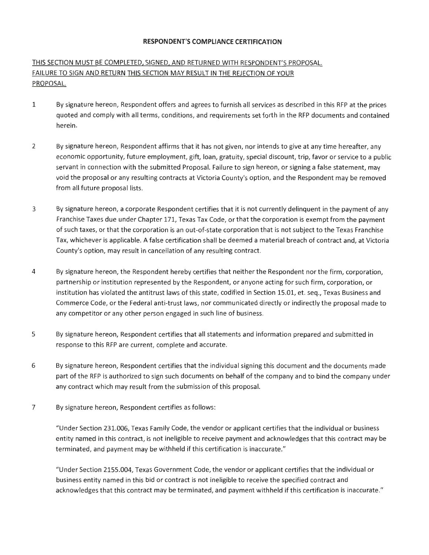#### **RESPONDENT'S COMPLIANCE CERTIFICATION**

### THIS SECTION MUST BE COMPLETED, SIGNED, AND RETURNED WITH RESPONDENT'S PROPOSAL. FAILURE TO SIGN AND RETURN THIS SECTION MAY RESULT IN THE REJECTION OF YOUR PROPOSAL.

- 1 By signature hereon, Respondent offers and agrees to furnish all services as described in this RFP at the prices quoted and comply with all terms, conditions, and requirements set forth in the RFP documents and contained herein.
- 2 By signature hereon, Respondent affirms that it has not given, nor intends to give at any time hereafter, any economic opportunity, future employment, gift, loan, gratuity, special discount, trip, favor or service to a public servant in connection with the submitted Proposal. Failure to sign hereon, or signing a false statement, may void the proposal or any resulting contracts at Victoria County's option, and the Respondent may be removed from all future proposal lists.
- 3 By signature hereon, a corporate Respondent certifies that it is not currently delinquent in the payment of any Franchise Taxes due under Chapter 171, Texas Tax Code, or that the corporation is exempt from the payment of such taxes, or that the corporation is an out-of-state corporation that is not subject to the Texas Franchise Tax, whichever is applicable. A false certification shall be deemed a material breach of contract and, at Victoria County's option, may result in cancellation of any resulting contract.
- 4 By signature hereon, the Respondent hereby certifies that neither the Respondent nor the firm, corporation, partnership or institution represented by the Respondent, or anyone acting for such firm, corporation, or institution has violated the antitrust laws of this state, codified in Section 15.01, et. seq., Texas Business and Commerce Code, or the Federal anti-trust laws, nor communicated directly or indirectly the proposal made to any competitor or any other person engaged in such line of business.
- 5 By signature hereon, Respondent certifies that all statements and information prepared and submitted in response to this RFP are current, complete and accurate.
- 6 By signature hereon, Respondent certifies that the individual signing this document and the documents made part of the RFP is authorized to sign such documents on behalf of the company and to bind the company under any contract which may result from the submission of this proposal.
- 7 By signature hereon, Respondent certifies as follows :

"Under Section 231.006, Texas Family Code, the vendor or applicant certifies that the individual or business entity named in this contract, is not ineligible to receive payment and acknowledges that this contract may be terminated, and payment may be withheld if this certification is inaccurate."

"Under Section 2155.004, Texas Government Code, the vendor or applicant certifies that the individual or business entity named in this bid or contract is not ineligible to receive the specified contract and acknowledges that this contract may be terminated, and payment withheld if this certification is inaccurate."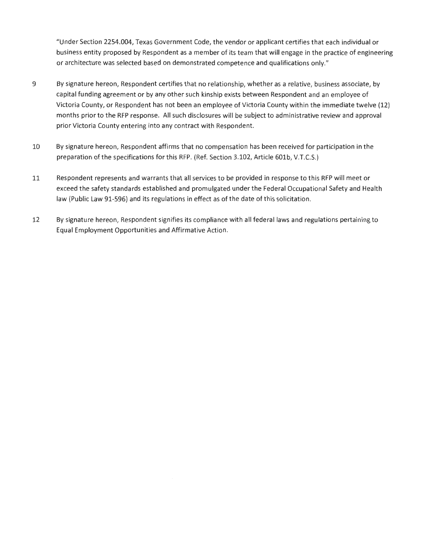"Under Section 2254.004, Texas Government Code, the vendor or applicant certifies that each individual or business entity proposed by Respondent as a member of its team that will engage in the practice of engineering or architecture was selected based on demonstrated competence and qualifications only."

- 9 By signature hereon, Respondent certifies that no relationship, whether as a relative, business associate, by capital funding agreement or by any other such kinship exists between Respondent and an employee of Victoria County, or Respondent has not been an employee of Victoria County within the immediate twelve (12) months prior to the RFP response. All such disclosures will be subject to administrative review and approval prior Victoria County entering into any contract with Respondent.
- 10 By signature hereon, Respondent affirms that no compensation has been received for participation in the preparation ofthe specifications for this RFP. (Ref. Section 3.102, Article 60lb, V.T.C.S.)
- 11 Respondent represents and warrants that all services to be provided in response to this RFP will meet or exceed the safety standards established and promulgated under the Federal Occupational Safety and Health law (Public Law 91-596) and its regulations in effect as of the date of this solicitation.
- 12 By signature hereon, Respondent signifies its compliance with all federal laws and regulations pertaining to Equal Employment Opportunities and Affirmative Action.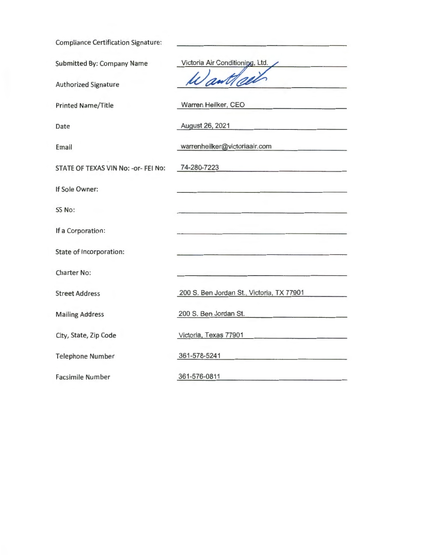| <b>Compliance Certification Signature:</b> |                                                                                                                                                                                                                                                         |
|--------------------------------------------|---------------------------------------------------------------------------------------------------------------------------------------------------------------------------------------------------------------------------------------------------------|
| Submitted By: Company Name                 | Victoria Air Conditioning, Ltd.                                                                                                                                                                                                                         |
| <b>Authorized Signature</b>                | ant                                                                                                                                                                                                                                                     |
| <b>Printed Name/Title</b>                  | Warren Heilker, CEO                                                                                                                                                                                                                                     |
| Date                                       | August 26, 2021<br><u> La Carlo Carlo Carlo Carlo Carlo Ca</u>                                                                                                                                                                                          |
| Email                                      | warrenheilker@victoriaair.com                                                                                                                                                                                                                           |
| STATE OF TEXAS VIN No: - or- FEI No:       | 74-280-7223<br>the company of the company of the company of the company of the company of the company of the company of the company of the company of the company of the company of the company of the company of the company of the company            |
| If Sole Owner:                             | and the company of the second company of the problem of the company of the company of the company of the company                                                                                                                                        |
| SS No:                                     |                                                                                                                                                                                                                                                         |
| If a Corporation:                          |                                                                                                                                                                                                                                                         |
| State of Incorporation:                    | and the control of the control of the control of the control of the control of the control of the control of the                                                                                                                                        |
| <b>Charter No:</b>                         |                                                                                                                                                                                                                                                         |
| <b>Street Address</b>                      | 200 S. Ben Jordan St., Victoria, TX 77901                                                                                                                                                                                                               |
| <b>Mailing Address</b>                     | 200 S. Ben Jordan St.                                                                                                                                                                                                                                   |
| City, State, Zip Code                      | Victoria, Texas 77901<br>and the control of the control of the control of the control of the control of the control of the control of the control of the control of the control of the control of the control of the control of the control of the cont |
| <b>Telephone Number</b>                    | 361-578-5241                                                                                                                                                                                                                                            |
| <b>Facsimile Number</b>                    | 361-576-0811                                                                                                                                                                                                                                            |